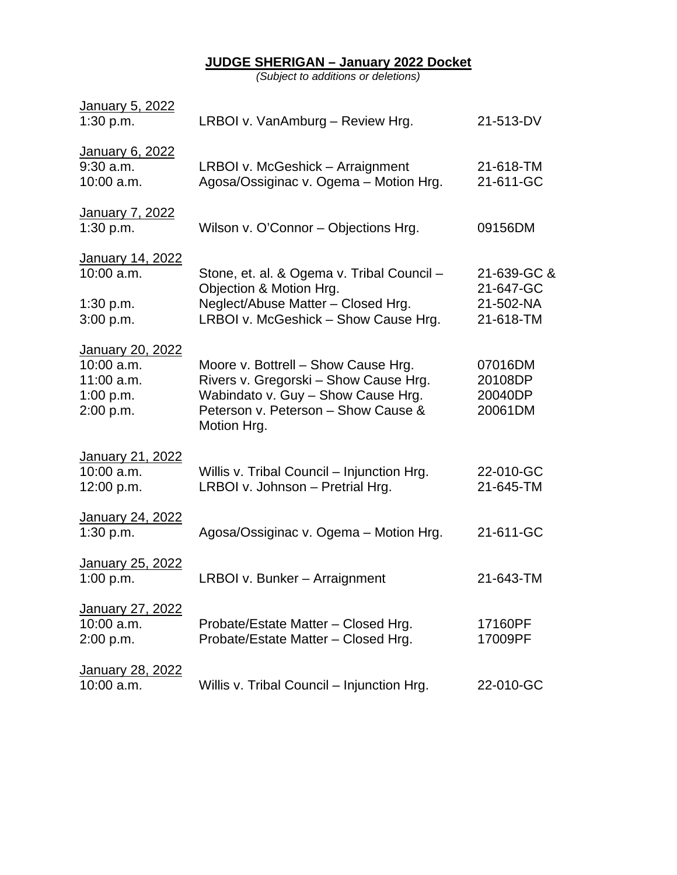#### **JUDGE SHERIGAN – January 2022 Docket**

*(Subject to additions or deletions)*

| January 5, 2022<br>1:30 p.m.                                               | LRBOI v. VanAmburg - Review Hrg.                                                                                                                                         | 21-513-DV                                          |
|----------------------------------------------------------------------------|--------------------------------------------------------------------------------------------------------------------------------------------------------------------------|----------------------------------------------------|
| January 6, 2022<br>$9:30$ a.m.<br>$10:00$ a.m.                             | LRBOI v. McGeshick - Arraignment<br>Agosa/Ossiginac v. Ogema - Motion Hrg.                                                                                               | 21-618-TM<br>21-611-GC                             |
| January 7, 2022<br>1:30 p.m.                                               | Wilson v. O'Connor - Objections Hrg.                                                                                                                                     | 09156DM                                            |
| January 14, 2022<br>$10:00$ a.m.<br>1:30 p.m.<br>3:00 p.m.                 | Stone, et. al. & Ogema v. Tribal Council -<br>Objection & Motion Hrg.<br>Neglect/Abuse Matter - Closed Hrg.<br>LRBOI v. McGeshick - Show Cause Hrg.                      | 21-639-GC &<br>21-647-GC<br>21-502-NA<br>21-618-TM |
| January 20, 2022<br>$10:00$ a.m.<br>$11:00$ a.m.<br>1:00 p.m.<br>2:00 p.m. | Moore v. Bottrell - Show Cause Hrg.<br>Rivers v. Gregorski - Show Cause Hrg.<br>Wabindato v. Guy - Show Cause Hrg.<br>Peterson v. Peterson - Show Cause &<br>Motion Hrg. | 07016DM<br>20108DP<br>20040DP<br>20061DM           |
| January 21, 2022<br>$10:00$ a.m.<br>12:00 p.m.                             | Willis v. Tribal Council - Injunction Hrg.<br>LRBOI v. Johnson - Pretrial Hrg.                                                                                           | 22-010-GC<br>21-645-TM                             |
| January 24, 2022<br>1:30 p.m.                                              | Agosa/Ossiginac v. Ogema - Motion Hrg.                                                                                                                                   | 21-611-GC                                          |
| January 25, 2022<br>1:00 p.m.                                              | LRBOI v. Bunker - Arraignment                                                                                                                                            | 21-643-TM                                          |
| January 27, 2022<br>$10:00$ a.m.<br>2:00 p.m.                              | Probate/Estate Matter - Closed Hrg.<br>Probate/Estate Matter - Closed Hrg.                                                                                               | 17160PF<br>17009PF                                 |
| January 28, 2022<br>10:00 a.m.                                             | Willis v. Tribal Council - Injunction Hrg.                                                                                                                               | 22-010-GC                                          |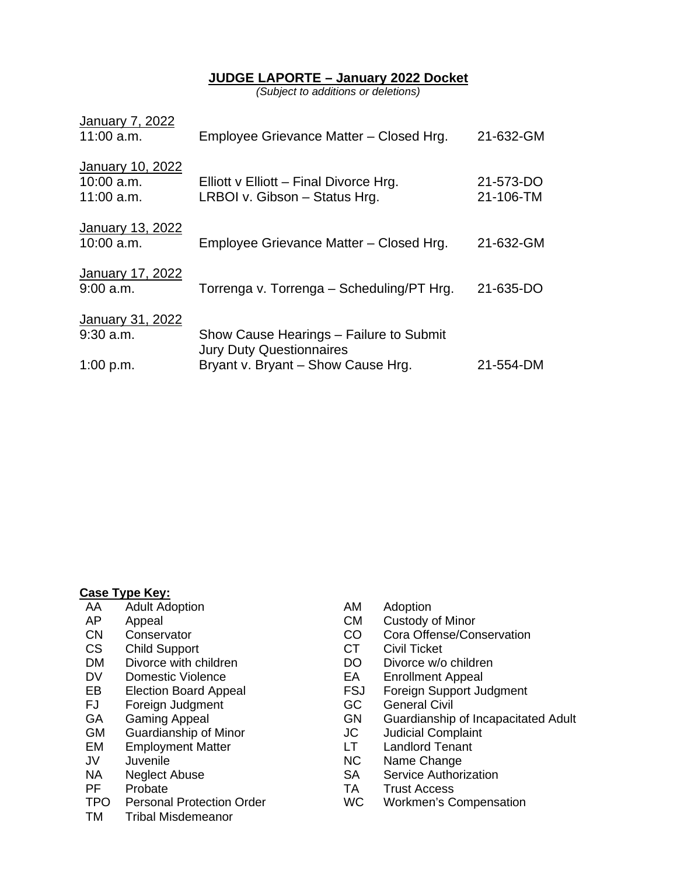### **JUDGE LAPORTE – January 2022 Docket**

*(Subject to additions or deletions)*

| <b>January 7, 2022</b><br>$11:00$ a.m.           | Employee Grievance Matter - Closed Hrg.                                    | 21-632-GM              |
|--------------------------------------------------|----------------------------------------------------------------------------|------------------------|
| January 10, 2022<br>$10:00$ a.m.<br>$11:00$ a.m. | Elliott $v$ Elliott – Final Divorce Hrg.<br>LRBOI v. Gibson - Status Hrg.  | 21-573-DO<br>21-106-TM |
| <b>January 13, 2022</b><br>10:00 a.m.            | Employee Grievance Matter - Closed Hrg.                                    | 21-632-GM              |
| <b>January 17, 2022</b><br>$9:00$ a.m.           | Torrenga v. Torrenga – Scheduling/PT Hrg.                                  | 21-635-DO              |
| January 31, 2022<br>$9:30$ a.m.                  | Show Cause Hearings – Failure to Submit<br><b>Jury Duty Questionnaires</b> |                        |
| 1:00 p.m.                                        | Bryant v. Bryant - Show Cause Hrg.                                         | 21-554-DM              |

#### **Case Type Key:**

- AA Adult Adoption CAN Adoption<br>
AP Appeal CM Custody of
- 
- 
- 
- CS Child Support<br>
DM Divorce with children<br>
DO Divorce w/o children<br>
DO Divorce w/o children DM Divorce with children DO DO
- 
- 
- FJ Foreign Judgment GC<br>GA Gaming Appeal GN GN
- 
- GM Guardianship of Minor **JC** Judicial Complair<br>
EM Employment Matter 
LT Landlord Tenant
- EM Employment Matter **LT**<br>JV Juvenile **NC**
- 
- 
- 
- PF Probate TP Probate TR Trust Access<br>TPO Personal Protection Order TPO Workmen's C
- TM Tribal Misdemeanor
- 
- AP Appeal CM Custody of Minor<br>
CN Conservator CO Cora Offense/Cor
	- Conservator CO Cora Offense/Conservation
		-
		-
- DV Domestic Violence EA Enrollment Appeal
- EB Election Board Appeal **FSJ** Foreign Support Judgment<br>FJ Foreign Judgment **FGC** General Civil
	-
	- Guardianship of Incapacitated Adult<br>Judicial Complaint
	-
	-
- JV Juvenile NC Name Change
	- Service Authorization
	-
	- Personal Protection Order WC Workmen's Compensation